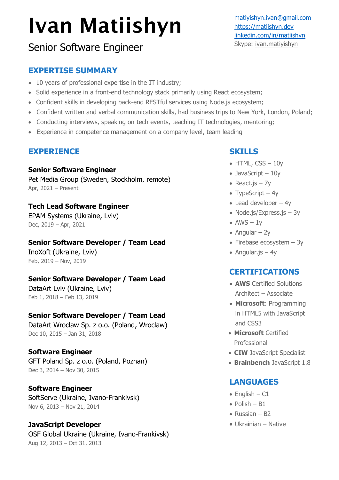# Ivan Matiishyn

# Senior Software Engineer

## **EXPERTISE SUMMARY**

- 10 years of professional expertise in the IT industry;
- Solid experience in a front-end technology stack primarily using React ecosystem;
- Confident skills in developing back-end RESTful services using Node.js ecosystem;
- Confident written and verbal communication skills, had business trips to New York, London, Poland;
- Conducting interviews, speaking on tech events, teaching IT technologies, mentoring;
- Experience in competence management on a company level, team leading

## **EXPERIENCE**

#### **Senior Software Engineer**

Pet Media Group (Sweden, Stockholm, remote) Apr, 2021 – Present

## **Tech Lead Software Engineer**

EPAM Systems (Ukraine, Lviv) Dec, 2019 – Apr, 2021

## **Senior Software Developer / Team Lead**

InoXoft (Ukraine, Lviv) Feb, 2019 – Nov, 2019

## **Senior Software Developer / Team Lead**

DataArt Lviv (Ukraine, Lviv) Feb 1, 2018 – Feb 13, 2019

## **Senior Software Developer / Team Lead**

DataArt Wroclaw Sp. z o.o. (Poland, Wroclaw) Dec 10, 2015 – Jan 31, 2018

#### **Software Engineer**

GFT Poland Sp. z o.o. (Poland, Poznan) Dec 3, 2014 – Nov 30, 2015

## **Software Engineer**

SoftServe (Ukraine, Ivano-Frankivsk) Nov 6, 2013 – Nov 21, 2014

## **JavaScript Developer**

OSF Global Ukraine (Ukraine, Ivano-Frankivsk) Aug 12, 2013 – Oct 31, 2013

## **SKILLS**

- $\bullet$  HTML, CSS  $-10y$
- JavaScript 10y
- React.js 7y
- TypeScript  $-4y$
- Lead developer  $-4y$
- Node.js/Express.js 3y
- $AWS 1y$
- $\bullet$  Angular 2y
- Firebase ecosystem 3y
- Angular.js  $-4y$

## **CERTIFICATIONS**

- **AWS** Certified Solutions Architect – Associate
- **Microsoft**: Programming in HTML5 with JavaScript and CSS3
- **Microsoft** Certified Professional
- **CIW** JavaScript Specialist
- **Brainbench** JavaScript 1.8

## **LANGUAGES**

- $\bullet$  English C1
- $\bullet$  Polish B1
- Russian  $B2$
- Ukrainian Native

[matiyishyn.ivan@gmail.com](mailto:matiyishyn.ivan@gmail.com) [https://matiishyn.dev](https://matiishyn.dev/) [linkedin.com/in/matiishyn](http://www.linkedin.com/in/matiishyn) Skype: ivan.matiyishyn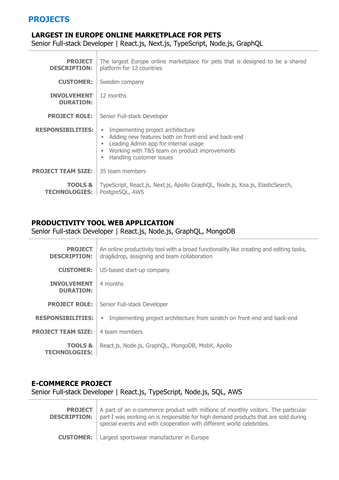## **PROJECTS**

#### **LARGEST IN EUROPE ONLINE MARKETPLACE FOR PETS**

Senior Full-stack Developer | React.js, Next.js, TypeScript, Node.js, GraphQL

| <b>PROJECT</b><br><b>DESCRIPTION:</b>      | The largest Europe online marketplace for pets that is designed to be a shared<br>platform for 12 countries                                                                                                       |
|--------------------------------------------|-------------------------------------------------------------------------------------------------------------------------------------------------------------------------------------------------------------------|
| <b>CUSTOMER:</b>                           | Sweden company                                                                                                                                                                                                    |
| <b>INVOLVEMENT</b><br><b>DURATION:</b>     | 12 months                                                                                                                                                                                                         |
| <b>PROJECT ROLE:</b>                       | Senior Full-stack Developer                                                                                                                                                                                       |
| <b>RESPONSIBILITIES:</b>                   | Implementing project architecture<br>Adding new features both on front-end and back-end<br>Leading Admin app for internal usage<br>٠<br>Working with T&S team on product improvements<br>Handling customer issues |
| <b>PROJECT TEAM SIZE:</b>                  | 35 team members                                                                                                                                                                                                   |
| <b>TOOLS &amp;</b><br><b>TECHNOLOGIES:</b> | TypeScript, React.js, Next.js, Apollo GraphQL, Node.js, Koa.js, ElasticSearch,<br>PostgreSQL, AWS                                                                                                                 |

## **PRODUCTIVITY TOOL WEB APPLICATION**

#### Senior Full-stack Developer | React.js, Node.js, GraphQL, MongoDB

| <b>PROJECT</b><br><b>DESCRIPTION:</b>      | An online productivity tool with a broad functionality like creating and editing tasks,<br>drag&drop, assigning and team collaboration |
|--------------------------------------------|----------------------------------------------------------------------------------------------------------------------------------------|
| <b>CUSTOMER:</b>                           | US-based start-up company                                                                                                              |
| <b>INVOLVEMENT</b><br><b>DURATION:</b>     | 4 months                                                                                                                               |
| <b>PROJECT ROLE:</b>                       | Senior Full-stack Developer                                                                                                            |
| <b>RESPONSIBILITIES:</b>                   | Implementing project architecture from scratch on front-end and back-end<br>٠                                                          |
| <b>PROJECT TEAM SIZE:</b>                  | 4 team members                                                                                                                         |
| <b>TOOLS &amp;</b><br><b>TECHNOLOGIES:</b> | React.js, Node.js, GraphQL, MongoDB, MobX, Apollo                                                                                      |

#### **E-COMMERCE PROJECT**

Senior Full-stack Developer | React.js, TypeScript, Node.js, SQL, AWS

**PROJECT DESCRIPTION:** A part of an e-commerce product with millions of monthly visitors. The particular part I was working on is responsible for high demand products that are sold during special events and with cooperation with different world celebrities. **CUSTOMER:** Largest sportswear manufacturer in Europe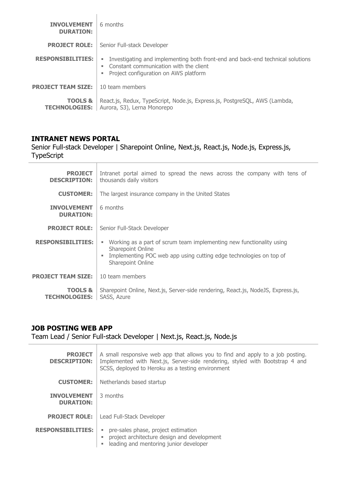| <b>INVOLVEMENT</b><br><b>DURATION:</b>     | 6 months                                                                                                                                                                         |
|--------------------------------------------|----------------------------------------------------------------------------------------------------------------------------------------------------------------------------------|
| <b>PROJECT ROLE:</b>                       | Senior Full-stack Developer                                                                                                                                                      |
| <b>RESPONSIBILITIES:</b>                   | Investigating and implementing both front-end and back-end technical solutions<br>ш<br>Constant communication with the client<br>٠<br>Project configuration on AWS platform<br>ш |
| <b>PROJECT TEAM SIZE:</b>                  | 10 team members                                                                                                                                                                  |
| <b>TOOLS &amp;</b><br><b>TECHNOLOGIES:</b> | React.js, Redux, TypeScript, Node.js, Express.js, PostgreSQL, AWS (Lambda,<br>Aurora, S3), Lerna Monorepo                                                                        |

#### **INTRANET NEWS PORTAL**

 $\top$ 

Senior Full-stack Developer | Sharepoint Online, Next.js, React.js, Node.js, Express.js, TypeScript

| <b>PROJECT</b><br><b>DESCRIPTION:</b>      | Intranet portal aimed to spread the news across the company with tens of<br>thousands daily visitors                                                                                             |
|--------------------------------------------|--------------------------------------------------------------------------------------------------------------------------------------------------------------------------------------------------|
| <b>CUSTOMER:</b>                           | The largest insurance company in the United States                                                                                                                                               |
| <b>INVOLVEMENT</b><br><b>DURATION:</b>     | 6 months                                                                                                                                                                                         |
| <b>PROJECT ROLE:</b>                       | Senior Full-Stack Developer                                                                                                                                                                      |
| <b>RESPONSIBILITIES:</b>                   | Working as a part of scrum team implementing new functionality using<br>٠<br><b>Sharepoint Online</b><br>Implementing POC web app using cutting edge technologies on top of<br>Sharepoint Online |
| <b>PROJECT TEAM SIZE:</b>                  | 10 team members                                                                                                                                                                                  |
| <b>TOOLS &amp;</b><br><b>TECHNOLOGIES:</b> | Sharepoint Online, Next.js, Server-side rendering, React.js, NodeJS, Express.js,<br>SASS, Azure                                                                                                  |

#### **JOB POSTING WEB APP**

Team Lead / Senior Full-stack Developer | Next.js, React.js, Node.js

| <b>PROJECT</b><br><b>DESCRIPTION:</b>  | A small responsive web app that allows you to find and apply to a job posting.<br>Implemented with Next.js, Server-side rendering, styled with Bootstrap 4 and<br>SCSS, deployed to Heroku as a testing environment |
|----------------------------------------|---------------------------------------------------------------------------------------------------------------------------------------------------------------------------------------------------------------------|
| <b>CUSTOMER:</b>                       | Netherlands based startup                                                                                                                                                                                           |
| <b>INVOLVEMENT</b><br><b>DURATION:</b> | 3 months                                                                                                                                                                                                            |
| <b>PROJECT ROLE:</b>                   | Lead Full-Stack Developer                                                                                                                                                                                           |
| <b>RESPONSIBILITIES:</b>               | pre-sales phase, project estimation<br>project architecture design and development<br>leading and mentoring junior developer                                                                                        |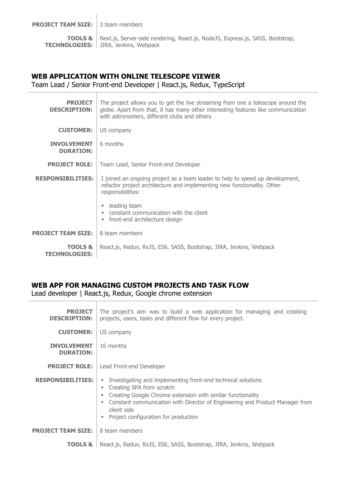**PROJECT TEAM SIZE:** 3 team members

**TOOLS &**  Next.js, Server-side rendering, React.js, NodeJS, Express.js, SASS, Bootstrap, **TECHNOLOGIES:** JIRA, Jenkins, Webpack

#### **WEB APPLICATION WITH ONLINE TELESCOPE VIEWER**

Team Lead / Senior Front-end Developer | React.js, Redux, TypeScript

| <b>PROJECT</b><br><b>DESCRIPTION:</b>      | The project allows you to get the live streaming from one a telescope around the<br>globe. Apart from that, it has many other interesting features like communication<br>with astronomers, different clubs and others |
|--------------------------------------------|-----------------------------------------------------------------------------------------------------------------------------------------------------------------------------------------------------------------------|
| <b>CUSTOMER:</b>                           | US company                                                                                                                                                                                                            |
| <b>INVOLVEMENT</b><br><b>DURATION:</b>     | 6 months                                                                                                                                                                                                              |
| <b>PROJECT ROLE:</b>                       | Team Lead, Senior Front-end Developer                                                                                                                                                                                 |
| <b>RESPONSIBILITIES:</b>                   | I joined an ongoing project as a team leader to help to speed up development,<br>refactor project architecture and implementing new functionality. Other<br>responsibilities:                                         |
|                                            | leading team<br>constant communication with the client<br>front-end architecture design                                                                                                                               |
| <b>PROJECT TEAM SIZE:</b>                  | 8 team members                                                                                                                                                                                                        |
| <b>TOOLS &amp;</b><br><b>TECHNOLOGIES:</b> | React.js, Redux, RxJS, ES6, SASS, Bootstrap, JIRA, Jenkins, Webpack                                                                                                                                                   |

#### **WEB APP FOR MANAGING CUSTOM PROJECTS AND TASK FLOW**

Lead developer | React.js, Redux, Google chrome extension

| <b>PROJECT</b><br><b>DESCRIPTION:</b>  | The project's aim was to build a web application for managing and creating<br>projects, users, tasks and different flow for every project.                                                                                                                                                                |
|----------------------------------------|-----------------------------------------------------------------------------------------------------------------------------------------------------------------------------------------------------------------------------------------------------------------------------------------------------------|
| <b>CUSTOMER:</b>                       | US company                                                                                                                                                                                                                                                                                                |
| <b>INVOLVEMENT</b><br><b>DURATION:</b> | 16 months                                                                                                                                                                                                                                                                                                 |
| <b>PROJECT ROLE:</b>                   | Lead Front-end Developer                                                                                                                                                                                                                                                                                  |
| <b>RESPONSIBILITIES:</b>               | Investigating and implementing front-end technical solutions<br>٠<br>Creating SPA from scratch<br>٠<br>Creating Google Chrome extension with similar functionality<br>Constant communication with Director of Engineering and Product Manager from<br>client side<br>Project configuration for production |
| <b>PROJECT TEAM SIZE:</b>              | 8 team members                                                                                                                                                                                                                                                                                            |
| <b>TOOLS &amp;</b>                     | React.js, Redux, RxJS, ES6, SASS, Bootstrap, JIRA, Jenkins, Webpack                                                                                                                                                                                                                                       |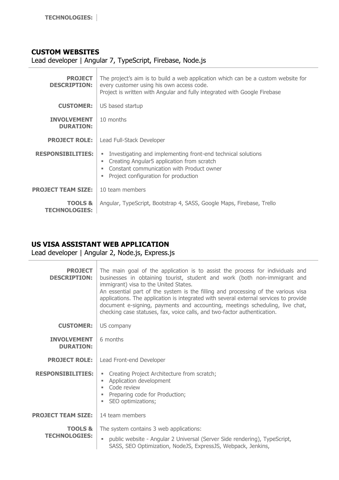#### **CUSTOM WEBSITES**

Lead developer | Angular 7, TypeScript, Firebase, Node.js

| <b>PROJECT</b><br><b>DESCRIPTION:</b>      | The project's aim is to build a web application which can be a custom website for<br>every customer using his own access code.<br>Project is written with Angular and fully integrated with Google Firebase |
|--------------------------------------------|-------------------------------------------------------------------------------------------------------------------------------------------------------------------------------------------------------------|
| <b>CUSTOMER:</b>                           | US based startup                                                                                                                                                                                            |
| <b>INVOLVEMENT</b><br><b>DURATION:</b>     | 10 months                                                                                                                                                                                                   |
| <b>PROJECT ROLE:</b>                       | Lead Full-Stack Developer                                                                                                                                                                                   |
| <b>RESPONSIBILITIES:</b>                   | Investigating and implementing front-end technical solutions<br>Creating Angular5 application from scratch<br>٠<br>Constant communication with Product owner<br>Project configuration for production        |
| <b>PROJECT TEAM SIZE:</b>                  | 10 team members                                                                                                                                                                                             |
| <b>TOOLS &amp;</b><br><b>TECHNOLOGIES:</b> | Angular, TypeScript, Bootstrap 4, SASS, Google Maps, Firebase, Trello                                                                                                                                       |

#### **US VISA ASSISTANT WEB APPLICATION**

Lead developer | Angular 2, Node.js, Express.js

| <b>PROJECT</b><br><b>DESCRIPTION:</b>      | The main goal of the application is to assist the process for individuals and<br>businesses in obtaining tourist, student and work (both non-immigrant and<br>immigrant) visa to the United States.<br>An essential part of the system is the filling and processing of the various visa<br>applications. The application is integrated with several external services to provide<br>document e-signing, payments and accounting, meetings scheduling, live chat,<br>checking case statuses, fax, voice calls, and two-factor authentication. |
|--------------------------------------------|-----------------------------------------------------------------------------------------------------------------------------------------------------------------------------------------------------------------------------------------------------------------------------------------------------------------------------------------------------------------------------------------------------------------------------------------------------------------------------------------------------------------------------------------------|
| <b>CUSTOMER:</b>                           | US company                                                                                                                                                                                                                                                                                                                                                                                                                                                                                                                                    |
| <b>INVOLVEMENT</b><br><b>DURATION:</b>     | 6 months                                                                                                                                                                                                                                                                                                                                                                                                                                                                                                                                      |
| <b>PROJECT ROLE:</b>                       | Lead Front-end Developer                                                                                                                                                                                                                                                                                                                                                                                                                                                                                                                      |
| <b>RESPONSIBILITIES:</b>                   | Creating Project Architecture from scratch;<br>ш<br>Application development<br>ш<br>Code review<br>Preparing code for Production;<br>SEO optimizations;                                                                                                                                                                                                                                                                                                                                                                                       |
| <b>PROJECT TEAM SIZE:</b>                  | 14 team members                                                                                                                                                                                                                                                                                                                                                                                                                                                                                                                               |
| <b>TOOLS &amp;</b><br><b>TECHNOLOGIES:</b> | The system contains 3 web applications:<br>public website - Angular 2 Universal (Server Side rendering), TypeScript,<br>SASS, SEO Optimization, NodeJS, ExpressJS, Webpack, Jenkins,                                                                                                                                                                                                                                                                                                                                                          |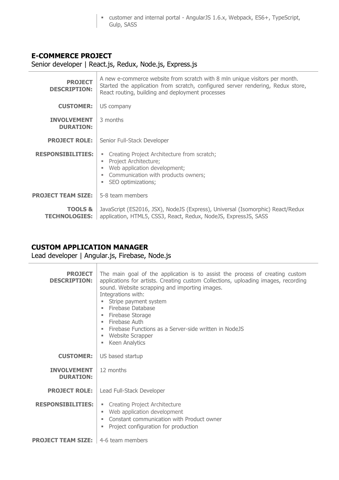▪ customer and internal portal - AngularJS 1.6.x, Webpack, ES6+, TypeScript, Gulp, SASS

## **E-COMMERCE PROJECT**

Senior developer | React.js, Redux, Node.js, Express.js

| <b>PROJECT</b><br><b>DESCRIPTION:</b>  | A new e-commerce website from scratch with 8 mln unique visitors per month.<br>Started the application from scratch, configured server rendering, Redux store,<br>React routing, building and deployment processes |
|----------------------------------------|--------------------------------------------------------------------------------------------------------------------------------------------------------------------------------------------------------------------|
| <b>CUSTOMER:</b>                       | US company                                                                                                                                                                                                         |
| <b>INVOLVEMENT</b><br><b>DURATION:</b> | 3 months                                                                                                                                                                                                           |
| <b>PROJECT ROLE:</b>                   | Senior Full-Stack Developer                                                                                                                                                                                        |
| <b>RESPONSIBILITIES:</b>               | Creating Project Architecture from scratch;<br>ш<br>Project Architecture;<br>Web application development;<br>Communication with products owners;<br>SEO optimizations;<br>ш                                        |
| <b>PROJECT TEAM SIZE:</b>              | 5-8 team members                                                                                                                                                                                                   |
| TOOLS &<br><b>TECHNOLOGIES:</b>        | JavaScript (ES2016, JSX), NodeJS (Express), Universal (Isomorphic) React/Redux<br>application, HTML5, CSS3, React, Redux, NodeJS, ExpressJS, SASS                                                                  |

## **CUSTOM APPLICATION MANAGER**

Lead developer | Angular.js, Firebase, Node.js

| <b>PROJECT</b><br><b>DESCRIPTION:</b>        | The main goal of the application is to assist the process of creating custom<br>applications for artists. Creating custom Collections, uploading images, recording<br>sound. Website scrapping and importing images.<br>Integrations with:<br>Stripe payment system<br>٠<br><b>Firebase Database</b><br>٠<br>Firebase Storage<br>ш<br>Firebase Auth<br>ш<br>Firebase Functions as a Server-side written in NodeJS<br>Website Scrapper<br>ш<br>Keen Analytics<br>٠ |
|----------------------------------------------|-------------------------------------------------------------------------------------------------------------------------------------------------------------------------------------------------------------------------------------------------------------------------------------------------------------------------------------------------------------------------------------------------------------------------------------------------------------------|
| <b>CUSTOMER:</b>                             | US based startup                                                                                                                                                                                                                                                                                                                                                                                                                                                  |
| <b>INVOLVEMENT</b><br><b>DURATION:</b>       | 12 months                                                                                                                                                                                                                                                                                                                                                                                                                                                         |
| <b>PROJECT ROLE:</b>                         | Lead Full-Stack Developer                                                                                                                                                                                                                                                                                                                                                                                                                                         |
| <b>RESPONSTBILITIES:</b>                     | • Creating Project Architecture<br>Web application development<br>٠<br>Constant communication with Product owner<br>٠<br>Project configuration for production<br>٠                                                                                                                                                                                                                                                                                                |
| <b>PROJECT TEAM SIZE:</b>   4-6 team members |                                                                                                                                                                                                                                                                                                                                                                                                                                                                   |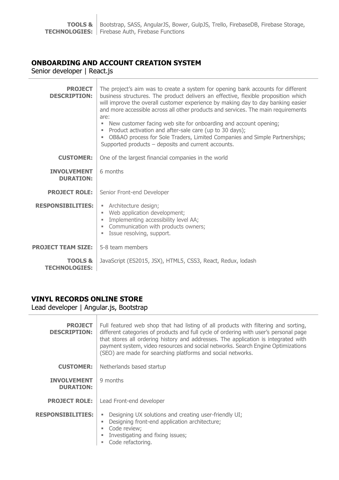## **ONBOARDING AND ACCOUNT CREATION SYSTEM**

Senior developer | React.js

| <b>PROJECT</b><br><b>DESCRIPTION:</b>      | The project's aim was to create a system for opening bank accounts for different<br>business structures. The product delivers an effective, flexible proposition which<br>will improve the overall customer experience by making day to day banking easier<br>and more accessible across all other products and services. The main requirements<br>are:<br>New customer facing web site for onboarding and account opening;<br>Product activation and after-sale care (up to 30 days);<br>OB&AO process for Sole Traders, Limited Companies and Simple Partnerships;<br>Supported products – deposits and current accounts. |
|--------------------------------------------|-----------------------------------------------------------------------------------------------------------------------------------------------------------------------------------------------------------------------------------------------------------------------------------------------------------------------------------------------------------------------------------------------------------------------------------------------------------------------------------------------------------------------------------------------------------------------------------------------------------------------------|
| <b>CUSTOMER:</b>                           | One of the largest financial companies in the world                                                                                                                                                                                                                                                                                                                                                                                                                                                                                                                                                                         |
| <b>INVOLVEMENT</b><br><b>DURATION:</b>     | 6 months                                                                                                                                                                                                                                                                                                                                                                                                                                                                                                                                                                                                                    |
| <b>PROJECT ROLE:</b>                       | Senior Front-end Developer                                                                                                                                                                                                                                                                                                                                                                                                                                                                                                                                                                                                  |
| <b>RESPONSIBILITIES:</b>                   | • Architecture design;<br>Web application development;<br>u.<br>Implementing accessibility level AA;<br>• Communication with products owners;<br>Issue resolving, support.                                                                                                                                                                                                                                                                                                                                                                                                                                                  |
| <b>PROJECT TEAM SIZE:</b>                  | 5-8 team members                                                                                                                                                                                                                                                                                                                                                                                                                                                                                                                                                                                                            |
| <b>TOOLS &amp;</b><br><b>TECHNOLOGIES:</b> | JavaScript (ES2015, JSX), HTML5, CSS3, React, Redux, lodash                                                                                                                                                                                                                                                                                                                                                                                                                                                                                                                                                                 |

## **VINYL RECORDS ONLINE STORE**

Lead developer | Angular.js, Bootstrap

| <b>PROJECT</b><br><b>DESCRIPTION:</b>  | Full featured web shop that had listing of all products with filtering and sorting,<br>different categories of products and full cycle of ordering with user's personal page<br>that stores all ordering history and addresses. The application is integrated with<br>payment system, video resources and social networks. Search Engine Optimizations<br>(SEO) are made for searching platforms and social networks. |
|----------------------------------------|-----------------------------------------------------------------------------------------------------------------------------------------------------------------------------------------------------------------------------------------------------------------------------------------------------------------------------------------------------------------------------------------------------------------------|
| <b>CUSTOMER:</b>                       | Netherlands based startup                                                                                                                                                                                                                                                                                                                                                                                             |
| <b>INVOLVEMENT</b><br><b>DURATION:</b> | 9 months                                                                                                                                                                                                                                                                                                                                                                                                              |
| <b>PROJECT ROLE:</b>                   | Lead Front-end developer                                                                                                                                                                                                                                                                                                                                                                                              |
| <b>RESPONSIBILITIES:</b>               | Designing UX solutions and creating user-friendly UI;<br>Designing front-end application architecture;<br>Code review;<br>Investigating and fixing issues;<br>Code refactoring.                                                                                                                                                                                                                                       |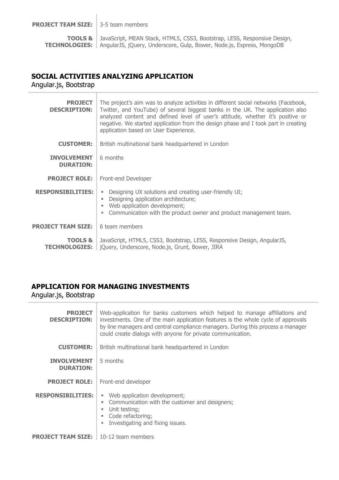**PROJECT TEAM SIZE:** 3-5 team members

**TOOLS & TECHNOLOGIES:** AngularJS, jQuery, Underscore, Gulp, Bower, Node.js, Express, MongoDB JavaScript, MEAN Stack, HTML5, CSS3, Bootstrap, LESS, Responsive Design,

#### **SOCIAL ACTIVITIES ANALYZING APPLICATION**

Angular.js, Bootstrap

| <b>PROJECT</b><br><b>DESCRIPTION:</b>  | The project's aim was to analyze activities in different social networks (Facebook,<br>Twitter, and YouTube) of several biggest banks in the UK. The application also<br>analyzed content and defined level of user's attitude, whether it's positive or<br>negative. We started application from the design phase and I took part in creating<br>application based on User Experience. |
|----------------------------------------|-----------------------------------------------------------------------------------------------------------------------------------------------------------------------------------------------------------------------------------------------------------------------------------------------------------------------------------------------------------------------------------------|
| <b>CUSTOMER:</b>                       | British multinational bank headquartered in London                                                                                                                                                                                                                                                                                                                                      |
| <b>INVOLVEMENT</b><br><b>DURATION:</b> | 6 months                                                                                                                                                                                                                                                                                                                                                                                |
| <b>PROJECT ROLE:</b>                   | Front-end Developer                                                                                                                                                                                                                                                                                                                                                                     |
| <b>RESPONSIBILITIES:</b>               | Designing UX solutions and creating user-friendly UI;<br>Designing application architecture;<br>Web application development;<br>Communication with the product owner and product management team.<br>u.                                                                                                                                                                                 |
| <b>PROJECT TEAM SIZE:</b>              | 6 team members                                                                                                                                                                                                                                                                                                                                                                          |
| <b>TOOLS &amp;</b>                     | JavaScript, HTML5, CSS3, Bootstrap, LESS, Responsive Design, AngularJS,<br><b>TECHNOLOGIES:</b>   jQuery, Underscore, Node.js, Grunt, Bower, JIRA                                                                                                                                                                                                                                       |

## **APPLICATION FOR MANAGING INVESTMENTS**

Angular.js, Bootstrap

| <b>PROJECT</b><br><b>DESCRIPTION:</b>  | Web-application for banks customers which helped to manage affiliations and<br>investments. One of the main application features is the whole cycle of approvals<br>by line managers and central compliance managers. During this process a manager<br>could create dialogs with anyone for private communication. |
|----------------------------------------|--------------------------------------------------------------------------------------------------------------------------------------------------------------------------------------------------------------------------------------------------------------------------------------------------------------------|
| <b>CUSTOMER:</b>                       | British multinational bank headquartered in London                                                                                                                                                                                                                                                                 |
| <b>INVOLVEMENT</b><br><b>DURATION:</b> | 5 months                                                                                                                                                                                                                                                                                                           |
| <b>PROJECT ROLE:</b>                   | Front-end developer                                                                                                                                                                                                                                                                                                |
| RESPONSTBILITTES:                      | Web application development;<br>ш<br>Communication with the customer and designers;<br>Unit testing;<br>٠<br>Code refactoring;<br>Investigating and fixing issues.                                                                                                                                                 |
| <b>PROJECT TEAM SIZE:</b>              | 10-12 team members                                                                                                                                                                                                                                                                                                 |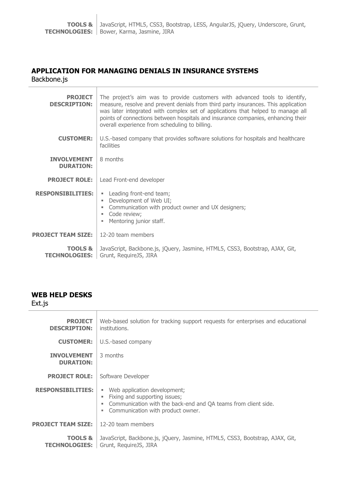## **APPLICATION FOR MANAGING DENIALS IN INSURANCE SYSTEMS**

Backbone.js

| <b>PROJECT</b><br><b>DESCRIPTION:</b>      | The project's aim was to provide customers with advanced tools to identify,<br>measure, resolve and prevent denials from third party insurances. This application<br>was later integrated with complex set of applications that helped to manage all<br>points of connections between hospitals and insurance companies, enhancing their<br>overall experience from scheduling to billing. |
|--------------------------------------------|--------------------------------------------------------------------------------------------------------------------------------------------------------------------------------------------------------------------------------------------------------------------------------------------------------------------------------------------------------------------------------------------|
| <b>CUSTOMER:</b>                           | U.S.-based company that provides software solutions for hospitals and healthcare<br>facilities                                                                                                                                                                                                                                                                                             |
| <b>INVOLVEMENT</b><br><b>DURATION:</b>     | 8 months                                                                                                                                                                                                                                                                                                                                                                                   |
| <b>PROJECT ROLE:</b>                       | Lead Front-end developer                                                                                                                                                                                                                                                                                                                                                                   |
| <b>RESPONSIBILITIES:</b>                   | • Leading front-end team;<br>Development of Web UI;<br>٠<br>Communication with product owner and UX designers;<br>Code review;<br>۰.<br>Mentoring junior staff.                                                                                                                                                                                                                            |
| <b>PROJECT TEAM SIZE:</b>                  | 12-20 team members                                                                                                                                                                                                                                                                                                                                                                         |
| <b>TOOLS &amp;</b><br><b>TECHNOLOGIES:</b> | JavaScript, Backbone.js, jQuery, Jasmine, HTML5, CSS3, Bootstrap, AJAX, Git,<br>Grunt, RequireJS, JIRA                                                                                                                                                                                                                                                                                     |

#### **WEB HELP DESKS**

 $\overline{a}$ 

| Ext.js                                     |                                                                                                                                                                                      |
|--------------------------------------------|--------------------------------------------------------------------------------------------------------------------------------------------------------------------------------------|
| <b>PROJECT</b><br><b>DESCRIPTION:</b>      | Web-based solution for tracking support requests for enterprises and educational<br>institutions.                                                                                    |
| <b>CUSTOMER:</b>                           | U.S.-based company                                                                                                                                                                   |
| <b>INVOLVEMENT</b><br><b>DURATION:</b>     | 3 months                                                                                                                                                                             |
| <b>PROJECT ROLE:</b>                       | Software Developer                                                                                                                                                                   |
| <b>RESPONSIBILITIES:</b>                   | Web application development;<br>٠<br>Fixing and supporting issues;<br>٠<br>Communication with the back-end and QA teams from client side.<br>Communication with product owner.<br>×. |
| <b>PROJECT TEAM SIZE:</b>                  | 12-20 team members                                                                                                                                                                   |
| <b>TOOLS &amp;</b><br><b>TECHNOLOGIES:</b> | JavaScript, Backbone.js, jQuery, Jasmine, HTML5, CSS3, Bootstrap, AJAX, Git,<br>Grunt, RequireJS, JIRA                                                                               |